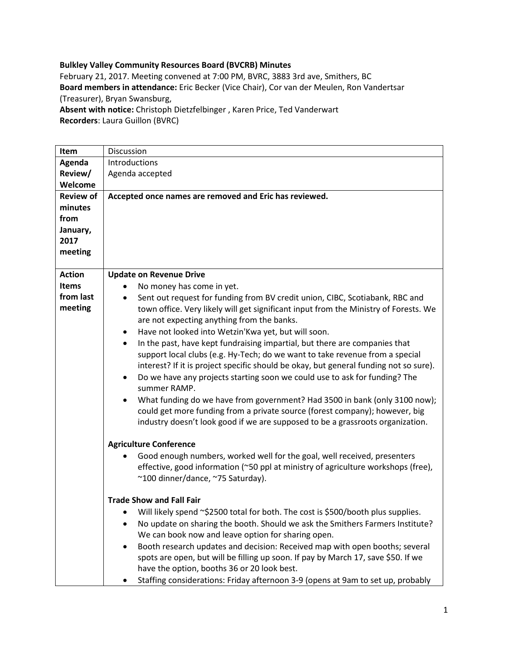## **Bulkley Valley Community Resources Board (BVCRB) Minutes**

February 21, 2017. Meeting convened at 7:00 PM, BVRC, 3883 3rd ave, Smithers, BC **Board members in attendance:** Eric Becker (Vice Chair), Cor van der Meulen, Ron Vandertsar (Treasurer), Bryan Swansburg, **Absent with notice:** Christoph Dietzfelbinger , Karen Price, Ted Vanderwart

**Recorders**: Laura Guillon (BVRC)

| Item             | Discussion                                                                               |
|------------------|------------------------------------------------------------------------------------------|
| Agenda           | Introductions                                                                            |
| Review/          | Agenda accepted                                                                          |
| Welcome          |                                                                                          |
| <b>Review of</b> | Accepted once names are removed and Eric has reviewed.                                   |
| minutes          |                                                                                          |
| from             |                                                                                          |
| January,         |                                                                                          |
| 2017             |                                                                                          |
|                  |                                                                                          |
| meeting          |                                                                                          |
| <b>Action</b>    | <b>Update on Revenue Drive</b>                                                           |
| <b>Items</b>     | No money has come in yet.                                                                |
| from last        | Sent out request for funding from BV credit union, CIBC, Scotiabank, RBC and<br>٠        |
| meeting          | town office. Very likely will get significant input from the Ministry of Forests. We     |
|                  | are not expecting anything from the banks.                                               |
|                  | Have not looked into Wetzin'Kwa yet, but will soon.<br>٠                                 |
|                  | In the past, have kept fundraising impartial, but there are companies that<br>$\bullet$  |
|                  |                                                                                          |
|                  | support local clubs (e.g. Hy-Tech; do we want to take revenue from a special             |
|                  | interest? If it is project specific should be okay, but general funding not so sure).    |
|                  | Do we have any projects starting soon we could use to ask for funding? The<br>٠          |
|                  | summer RAMP.                                                                             |
|                  | What funding do we have from government? Had 3500 in bank (only 3100 now);               |
|                  | could get more funding from a private source (forest company); however, big              |
|                  | industry doesn't look good if we are supposed to be a grassroots organization.           |
|                  |                                                                                          |
|                  | <b>Agriculture Conference</b>                                                            |
|                  | Good enough numbers, worked well for the goal, well received, presenters                 |
|                  | effective, good information (~50 ppl at ministry of agriculture workshops (free),        |
|                  | ~100 dinner/dance, ~75 Saturday).                                                        |
|                  |                                                                                          |
|                  | <b>Trade Show and Fall Fair</b>                                                          |
|                  | • Will likely spend ~\$2500 total for both. The cost is \$500/booth plus supplies.       |
|                  | No update on sharing the booth. Should we ask the Smithers Farmers Institute?            |
|                  | We can book now and leave option for sharing open.                                       |
|                  | Booth research updates and decision: Received map with open booths; several<br>$\bullet$ |
|                  | spots are open, but will be filling up soon. If pay by March 17, save \$50. If we        |
|                  | have the option, booths 36 or 20 look best.                                              |
|                  | Staffing considerations: Friday afternoon 3-9 (opens at 9am to set up, probably          |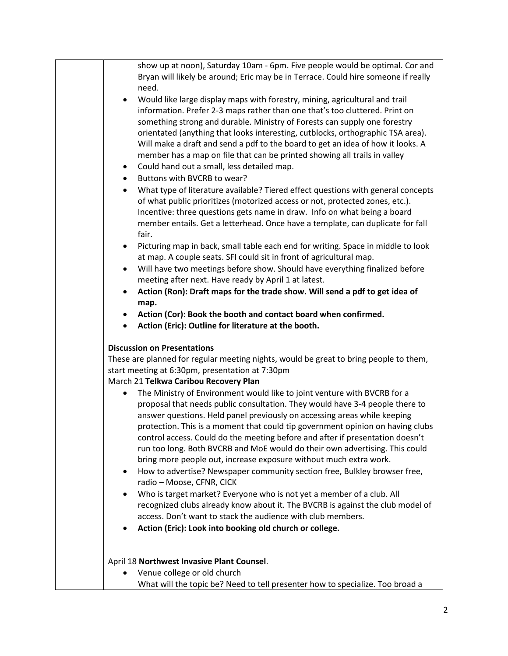| show up at noon), Saturday 10am - 6pm. Five people would be optimal. Cor and<br>Bryan will likely be around; Eric may be in Terrace. Could hire someone if really                                                                                                                                                                                                                                                                                                                                                                                                                                                                                                                                                                                                                                                                                                                                                 |
|-------------------------------------------------------------------------------------------------------------------------------------------------------------------------------------------------------------------------------------------------------------------------------------------------------------------------------------------------------------------------------------------------------------------------------------------------------------------------------------------------------------------------------------------------------------------------------------------------------------------------------------------------------------------------------------------------------------------------------------------------------------------------------------------------------------------------------------------------------------------------------------------------------------------|
| need.<br>Would like large display maps with forestry, mining, agricultural and trail<br>$\bullet$                                                                                                                                                                                                                                                                                                                                                                                                                                                                                                                                                                                                                                                                                                                                                                                                                 |
| information. Prefer 2-3 maps rather than one that's too cluttered. Print on<br>something strong and durable. Ministry of Forests can supply one forestry<br>orientated (anything that looks interesting, cutblocks, orthographic TSA area).<br>Will make a draft and send a pdf to the board to get an idea of how it looks. A                                                                                                                                                                                                                                                                                                                                                                                                                                                                                                                                                                                    |
| member has a map on file that can be printed showing all trails in valley<br>Could hand out a small, less detailed map.<br>$\bullet$                                                                                                                                                                                                                                                                                                                                                                                                                                                                                                                                                                                                                                                                                                                                                                              |
| Buttons with BVCRB to wear?<br>$\bullet$                                                                                                                                                                                                                                                                                                                                                                                                                                                                                                                                                                                                                                                                                                                                                                                                                                                                          |
| What type of literature available? Tiered effect questions with general concepts<br>$\bullet$<br>of what public prioritizes (motorized access or not, protected zones, etc.).<br>Incentive: three questions gets name in draw. Info on what being a board<br>member entails. Get a letterhead. Once have a template, can duplicate for fall<br>fair.                                                                                                                                                                                                                                                                                                                                                                                                                                                                                                                                                              |
| Picturing map in back, small table each end for writing. Space in middle to look<br>$\bullet$<br>at map. A couple seats. SFI could sit in front of agricultural map.                                                                                                                                                                                                                                                                                                                                                                                                                                                                                                                                                                                                                                                                                                                                              |
| Will have two meetings before show. Should have everything finalized before<br>٠<br>meeting after next. Have ready by April 1 at latest.                                                                                                                                                                                                                                                                                                                                                                                                                                                                                                                                                                                                                                                                                                                                                                          |
| Action (Ron): Draft maps for the trade show. Will send a pdf to get idea of<br>$\bullet$<br>map.                                                                                                                                                                                                                                                                                                                                                                                                                                                                                                                                                                                                                                                                                                                                                                                                                  |
| Action (Cor): Book the booth and contact board when confirmed.                                                                                                                                                                                                                                                                                                                                                                                                                                                                                                                                                                                                                                                                                                                                                                                                                                                    |
| Action (Eric): Outline for literature at the booth.<br>$\bullet$                                                                                                                                                                                                                                                                                                                                                                                                                                                                                                                                                                                                                                                                                                                                                                                                                                                  |
| <b>Discussion on Presentations</b>                                                                                                                                                                                                                                                                                                                                                                                                                                                                                                                                                                                                                                                                                                                                                                                                                                                                                |
| These are planned for regular meeting nights, would be great to bring people to them,<br>start meeting at 6:30pm, presentation at 7:30pm<br>March 21 Telkwa Caribou Recovery Plan                                                                                                                                                                                                                                                                                                                                                                                                                                                                                                                                                                                                                                                                                                                                 |
| The Ministry of Environment would like to joint venture with BVCRB for a<br>proposal that needs public consultation. They would have 3-4 people there to<br>answer questions. Held panel previously on accessing areas while keeping<br>protection. This is a moment that could tip government opinion on having clubs<br>control access. Could do the meeting before and after if presentation doesn't<br>run too long. Both BVCRB and MoE would do their own advertising. This could<br>bring more people out, increase exposure without much extra work.<br>How to advertise? Newspaper community section free, Bulkley browser free,<br>٠<br>radio - Moose, CFNR, CICK<br>Who is target market? Everyone who is not yet a member of a club. All<br>$\bullet$<br>recognized clubs already know about it. The BVCRB is against the club model of<br>access. Don't want to stack the audience with club members. |
| Action (Eric): Look into booking old church or college.                                                                                                                                                                                                                                                                                                                                                                                                                                                                                                                                                                                                                                                                                                                                                                                                                                                           |
|                                                                                                                                                                                                                                                                                                                                                                                                                                                                                                                                                                                                                                                                                                                                                                                                                                                                                                                   |
| April 18 Northwest Invasive Plant Counsel.                                                                                                                                                                                                                                                                                                                                                                                                                                                                                                                                                                                                                                                                                                                                                                                                                                                                        |
| Venue college or old church                                                                                                                                                                                                                                                                                                                                                                                                                                                                                                                                                                                                                                                                                                                                                                                                                                                                                       |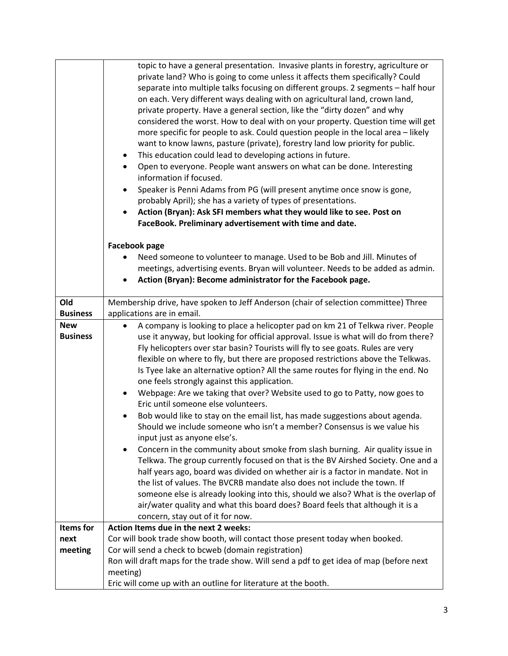|                        | topic to have a general presentation. Invasive plants in forestry, agriculture or<br>private land? Who is going to come unless it affects them specifically? Could<br>separate into multiple talks focusing on different groups. 2 segments - half hour<br>on each. Very different ways dealing with on agricultural land, crown land,<br>private property. Have a general section, like the "dirty dozen" and why<br>considered the worst. How to deal with on your property. Question time will get<br>more specific for people to ask. Could question people in the local area - likely<br>want to know lawns, pasture (private), forestry land low priority for public.<br>This education could lead to developing actions in future.<br>٠<br>Open to everyone. People want answers on what can be done. Interesting<br>$\bullet$<br>information if focused.<br>Speaker is Penni Adams from PG (will present anytime once snow is gone,<br>probably April); she has a variety of types of presentations.<br>Action (Bryan): Ask SFI members what they would like to see. Post on<br>FaceBook. Preliminary advertisement with time and date. |
|------------------------|-------------------------------------------------------------------------------------------------------------------------------------------------------------------------------------------------------------------------------------------------------------------------------------------------------------------------------------------------------------------------------------------------------------------------------------------------------------------------------------------------------------------------------------------------------------------------------------------------------------------------------------------------------------------------------------------------------------------------------------------------------------------------------------------------------------------------------------------------------------------------------------------------------------------------------------------------------------------------------------------------------------------------------------------------------------------------------------------------------------------------------------------------|
|                        | <b>Facebook page</b>                                                                                                                                                                                                                                                                                                                                                                                                                                                                                                                                                                                                                                                                                                                                                                                                                                                                                                                                                                                                                                                                                                                            |
|                        | Need someone to volunteer to manage. Used to be Bob and Jill. Minutes of                                                                                                                                                                                                                                                                                                                                                                                                                                                                                                                                                                                                                                                                                                                                                                                                                                                                                                                                                                                                                                                                        |
|                        | meetings, advertising events. Bryan will volunteer. Needs to be added as admin.<br>Action (Bryan): Become administrator for the Facebook page.<br>$\bullet$                                                                                                                                                                                                                                                                                                                                                                                                                                                                                                                                                                                                                                                                                                                                                                                                                                                                                                                                                                                     |
|                        |                                                                                                                                                                                                                                                                                                                                                                                                                                                                                                                                                                                                                                                                                                                                                                                                                                                                                                                                                                                                                                                                                                                                                 |
| Old<br><b>Business</b> | Membership drive, have spoken to Jeff Anderson (chair of selection committee) Three                                                                                                                                                                                                                                                                                                                                                                                                                                                                                                                                                                                                                                                                                                                                                                                                                                                                                                                                                                                                                                                             |
| <b>New</b>             | applications are in email.<br>A company is looking to place a helicopter pad on km 21 of Telkwa river. People<br>$\bullet$                                                                                                                                                                                                                                                                                                                                                                                                                                                                                                                                                                                                                                                                                                                                                                                                                                                                                                                                                                                                                      |
| <b>Business</b>        | use it anyway, but looking for official approval. Issue is what will do from there?                                                                                                                                                                                                                                                                                                                                                                                                                                                                                                                                                                                                                                                                                                                                                                                                                                                                                                                                                                                                                                                             |
|                        | Fly helicopters over star basin? Tourists will fly to see goats. Rules are very                                                                                                                                                                                                                                                                                                                                                                                                                                                                                                                                                                                                                                                                                                                                                                                                                                                                                                                                                                                                                                                                 |
|                        | flexible on where to fly, but there are proposed restrictions above the Telkwas.                                                                                                                                                                                                                                                                                                                                                                                                                                                                                                                                                                                                                                                                                                                                                                                                                                                                                                                                                                                                                                                                |
|                        | Is Tyee lake an alternative option? All the same routes for flying in the end. No<br>one feels strongly against this application.                                                                                                                                                                                                                                                                                                                                                                                                                                                                                                                                                                                                                                                                                                                                                                                                                                                                                                                                                                                                               |
|                        | Webpage: Are we taking that over? Website used to go to Patty, now goes to<br>$\bullet$                                                                                                                                                                                                                                                                                                                                                                                                                                                                                                                                                                                                                                                                                                                                                                                                                                                                                                                                                                                                                                                         |
|                        | Eric until someone else volunteers.                                                                                                                                                                                                                                                                                                                                                                                                                                                                                                                                                                                                                                                                                                                                                                                                                                                                                                                                                                                                                                                                                                             |
|                        | Bob would like to stay on the email list, has made suggestions about agenda.                                                                                                                                                                                                                                                                                                                                                                                                                                                                                                                                                                                                                                                                                                                                                                                                                                                                                                                                                                                                                                                                    |
|                        | Should we include someone who isn't a member? Consensus is we value his                                                                                                                                                                                                                                                                                                                                                                                                                                                                                                                                                                                                                                                                                                                                                                                                                                                                                                                                                                                                                                                                         |
|                        | input just as anyone else's.<br>Concern in the community about smoke from slash burning. Air quality issue in<br>$\bullet$                                                                                                                                                                                                                                                                                                                                                                                                                                                                                                                                                                                                                                                                                                                                                                                                                                                                                                                                                                                                                      |
|                        | Telkwa. The group currently focused on that is the BV Airshed Society. One and a                                                                                                                                                                                                                                                                                                                                                                                                                                                                                                                                                                                                                                                                                                                                                                                                                                                                                                                                                                                                                                                                |
|                        | half years ago, board was divided on whether air is a factor in mandate. Not in                                                                                                                                                                                                                                                                                                                                                                                                                                                                                                                                                                                                                                                                                                                                                                                                                                                                                                                                                                                                                                                                 |
|                        | the list of values. The BVCRB mandate also does not include the town. If                                                                                                                                                                                                                                                                                                                                                                                                                                                                                                                                                                                                                                                                                                                                                                                                                                                                                                                                                                                                                                                                        |
|                        | someone else is already looking into this, should we also? What is the overlap of<br>air/water quality and what this board does? Board feels that although it is a                                                                                                                                                                                                                                                                                                                                                                                                                                                                                                                                                                                                                                                                                                                                                                                                                                                                                                                                                                              |
|                        | concern, stay out of it for now.                                                                                                                                                                                                                                                                                                                                                                                                                                                                                                                                                                                                                                                                                                                                                                                                                                                                                                                                                                                                                                                                                                                |
| <b>Items</b> for       | Action Items due in the next 2 weeks:                                                                                                                                                                                                                                                                                                                                                                                                                                                                                                                                                                                                                                                                                                                                                                                                                                                                                                                                                                                                                                                                                                           |
| next                   | Cor will book trade show booth, will contact those present today when booked.                                                                                                                                                                                                                                                                                                                                                                                                                                                                                                                                                                                                                                                                                                                                                                                                                                                                                                                                                                                                                                                                   |
| meeting                | Cor will send a check to bcweb (domain registration)                                                                                                                                                                                                                                                                                                                                                                                                                                                                                                                                                                                                                                                                                                                                                                                                                                                                                                                                                                                                                                                                                            |
|                        | Ron will draft maps for the trade show. Will send a pdf to get idea of map (before next<br>meeting)                                                                                                                                                                                                                                                                                                                                                                                                                                                                                                                                                                                                                                                                                                                                                                                                                                                                                                                                                                                                                                             |
|                        | Eric will come up with an outline for literature at the booth.                                                                                                                                                                                                                                                                                                                                                                                                                                                                                                                                                                                                                                                                                                                                                                                                                                                                                                                                                                                                                                                                                  |